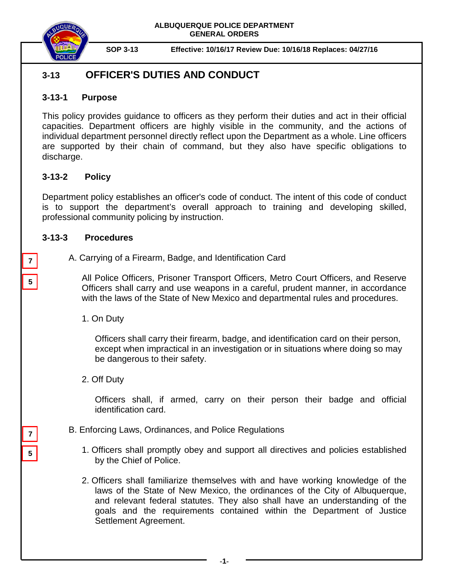**ALBUQUERQUE POLICE DEPARTMENT GENERAL ORDERS**



**SOP 3-13 Effective: 10/16/17 Review Due: 10/16/18 Replaces: 04/27/16**

# **3-13 OFFICER'S DUTIES AND CONDUCT**

### **3-13-1 Purpose**

This policy provides guidance to officers as they perform their duties and act in their official capacities. Department officers are highly visible in the community, and the actions of individual department personnel directly reflect upon the Department as a whole. Line officers are supported by their chain of command, but they also have specific obligations to discharge.

## **3-13-2 Policy**

Department policy establishes an officer's code of conduct. The intent of this code of conduct is to support the department's overall approach to training and developing skilled, professional community policing by instruction.

### **3-13-3 Procedures**

**5**

**5**

**7**

**7**

A. Carrying of a Firearm, Badge, and Identification Card

All Police Officers, Prisoner Transport Officers, Metro Court Officers, and Reserve Officers shall carry and use weapons in a careful, prudent manner, in accordance with the laws of the State of New Mexico and departmental rules and procedures.

1. On Duty

Officers shall carry their firearm, badge, and identification card on their person, except when impractical in an investigation or in situations where doing so may be dangerous to their safety.

2. Off Duty

Officers shall, if armed, carry on their person their badge and official identification card.

- B. Enforcing Laws, Ordinances, and Police Regulations
	- 1. Officers shall promptly obey and support all directives and policies established by the Chief of Police.
	- 2. Officers shall familiarize themselves with and have working knowledge of the laws of the State of New Mexico, the ordinances of the City of Albuquerque, and relevant federal statutes. They also shall have an understanding of the goals and the requirements contained within the Department of Justice Settlement Agreement.

**-1-**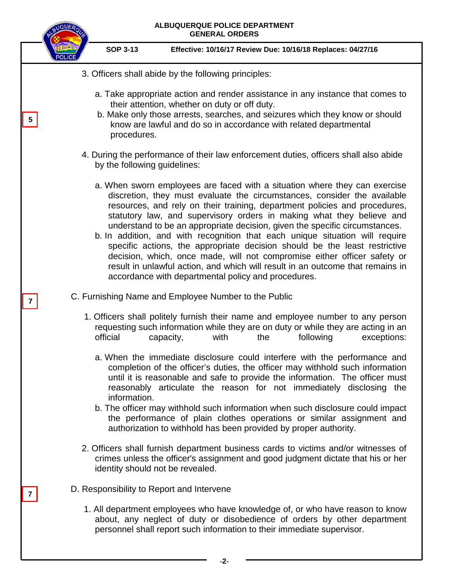

**-2-**